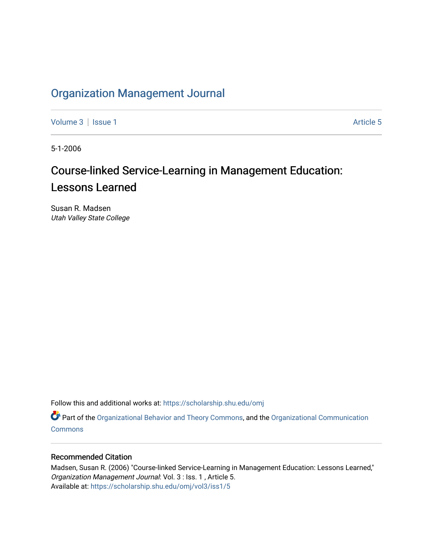# [Organization Management Journal](https://scholarship.shu.edu/omj)

[Volume 3](https://scholarship.shu.edu/omj/vol3) | [Issue 1](https://scholarship.shu.edu/omj/vol3/iss1) Article 5

5-1-2006

# Course-linked Service-Learning in Management Education: Lessons Learned

Susan R. Madsen Utah Valley State College

Follow this and additional works at: [https://scholarship.shu.edu/omj](https://scholarship.shu.edu/omj?utm_source=scholarship.shu.edu%2Fomj%2Fvol3%2Fiss1%2F5&utm_medium=PDF&utm_campaign=PDFCoverPages) 

Part of the [Organizational Behavior and Theory Commons,](http://network.bepress.com/hgg/discipline/639?utm_source=scholarship.shu.edu%2Fomj%2Fvol3%2Fiss1%2F5&utm_medium=PDF&utm_campaign=PDFCoverPages) and the [Organizational Communication](http://network.bepress.com/hgg/discipline/335?utm_source=scholarship.shu.edu%2Fomj%2Fvol3%2Fiss1%2F5&utm_medium=PDF&utm_campaign=PDFCoverPages) **[Commons](http://network.bepress.com/hgg/discipline/335?utm_source=scholarship.shu.edu%2Fomj%2Fvol3%2Fiss1%2F5&utm_medium=PDF&utm_campaign=PDFCoverPages)** 

#### Recommended Citation

Madsen, Susan R. (2006) "Course-linked Service-Learning in Management Education: Lessons Learned," Organization Management Journal: Vol. 3 : Iss. 1 , Article 5. Available at: [https://scholarship.shu.edu/omj/vol3/iss1/5](https://scholarship.shu.edu/omj/vol3/iss1/5?utm_source=scholarship.shu.edu%2Fomj%2Fvol3%2Fiss1%2F5&utm_medium=PDF&utm_campaign=PDFCoverPages)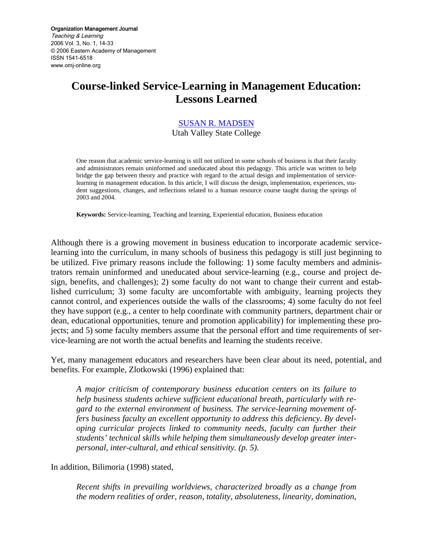Organization Management Journal Teaching & Learning 2006 Vol. 3, No. 1, 14-33 © 2006 Eastern Academy of Management ISSN 1541-6518 www.omj-online.org

## **Course-linked Service-Learning in Management Education: Lessons Learned**

#### [SUSAN R. MADSEN](mailto:madsensu@uvsc.edu)

Utah Valley State College

One reason that academic service-learning is still not utilized in some schools of business is that their faculty and administrators remain uninformed and uneducated about this pedagogy. This article was written to help bridge the gap between theory and practice with regard to the actual design and implementation of servicelearning in management education. In this article, I will discuss the design, implementation, experiences, student suggestions, changes, and reflections related to a human resource course taught during the springs of 2003 and 2004.

**Keywords:** Service-learning, Teaching and learning, Experiential education, Business education

Although there is a growing movement in business education to incorporate academic servicelearning into the curriculum, in many schools of business this pedagogy is still just beginning to be utilized. Five primary reasons include the following: 1) some faculty members and administrators remain uninformed and uneducated about service-learning (e.g., course and project design, benefits, and challenges); 2) some faculty do not want to change their current and established curriculum; 3) some faculty are uncomfortable with ambiguity, learning projects they cannot control, and experiences outside the walls of the classrooms; 4) some faculty do not feel they have support (e.g., a center to help coordinate with community partners, department chair or dean, educational opportunities, tenure and promotion applicability) for implementing these projects; and 5) some faculty members assume that the personal effort and time requirements of service-learning are not worth the actual benefits and learning the students receive.

Yet, many management educators and researchers have been clear about its need, potential, and benefits. For example, Zlotkowski (1996) explained that:

*A major criticism of contemporary business education centers on its failure to help business students achieve sufficient educational breath, particularly with regard to the external environment of business. The service-learning movement offers business faculty an excellent opportunity to address this deficiency. By developing curricular projects linked to community needs, faculty can further their students' technical skills while helping them simultaneously develop greater interpersonal, inter-cultural, and ethical sensitivity. (p. 5).* 

In addition, Bilimoria (1998) stated,

*Recent shifts in prevailing worldviews, characterized broadly as a change from the modern realities of order, reason, totality, absoluteness, linearity, domination,*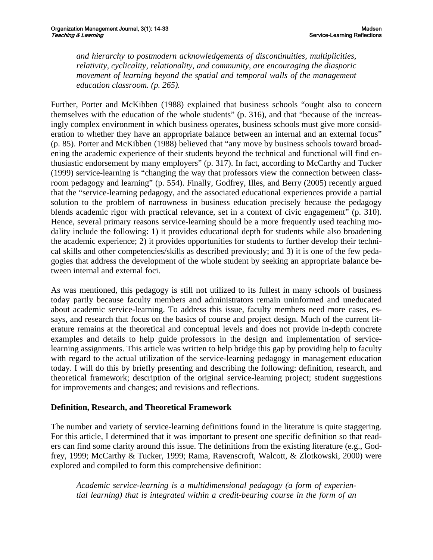*and hierarchy to postmodern acknowledgements of discontinuities, multiplicities, relativity, cyclicality, relationality, and community, are encouraging the diasporic movement of learning beyond the spatial and temporal walls of the management education classroom. (p. 265).* 

Further, Porter and McKibben (1988) explained that business schools "ought also to concern themselves with the education of the whole students" (p. 316), and that "because of the increasingly complex environment in which business operates, business schools must give more consideration to whether they have an appropriate balance between an internal and an external focus" (p. 85). Porter and McKibben (1988) believed that "any move by business schools toward broadening the academic experience of their students beyond the technical and functional will find enthusiastic endorsement by many employers" (p. 317). In fact, according to McCarthy and Tucker (1999) service-learning is "changing the way that professors view the connection between classroom pedagogy and learning" (p. 554). Finally, Godfrey, Illes, and Berry (2005) recently argued that the "service-learning pedagogy, and the associated educational experiences provide a partial solution to the problem of narrowness in business education precisely because the pedagogy blends academic rigor with practical relevance, set in a context of civic engagement" (p. 310). Hence, several primary reasons service-learning should be a more frequently used teaching modality include the following: 1) it provides educational depth for students while also broadening the academic experience; 2) it provides opportunities for students to further develop their technical skills and other competencies/skills as described previously; and 3) it is one of the few pedagogies that address the development of the whole student by seeking an appropriate balance between internal and external foci.

As was mentioned, this pedagogy is still not utilized to its fullest in many schools of business today partly because faculty members and administrators remain uninformed and uneducated about academic service-learning. To address this issue, faculty members need more cases, essays, and research that focus on the basics of course and project design. Much of the current literature remains at the theoretical and conceptual levels and does not provide in-depth concrete examples and details to help guide professors in the design and implementation of servicelearning assignments. This article was written to help bridge this gap by providing help to faculty with regard to the actual utilization of the service-learning pedagogy in management education today. I will do this by briefly presenting and describing the following: definition, research, and theoretical framework; description of the original service-learning project; student suggestions for improvements and changes; and revisions and reflections.

## **Definition, Research, and Theoretical Framework**

The number and variety of service-learning definitions found in the literature is quite staggering. For this article, I determined that it was important to present one specific definition so that readers can find some clarity around this issue. The definitions from the existing literature (e.g., Godfrey, 1999; McCarthy & Tucker, 1999; Rama, Ravenscroft, Walcott, & Zlotkowski, 2000) were explored and compiled to form this comprehensive definition:

*Academic service-learning is a multidimensional pedagogy (a form of experiential learning) that is integrated within a credit-bearing course in the form of an*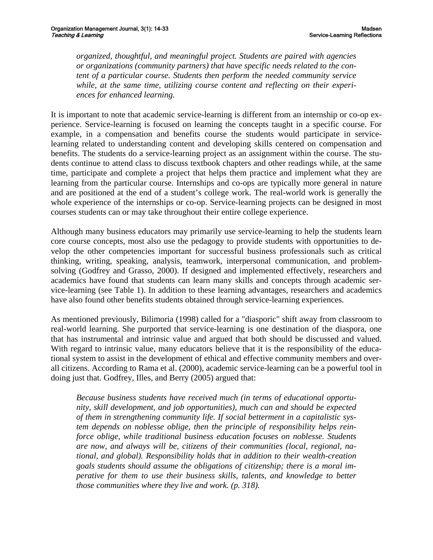*organized, thoughtful, and meaningful project. Students are paired with agencies or organizations (community partners) that have specific needs related to the content of a particular course. Students then perform the needed community service while, at the same time, utilizing course content and reflecting on their experiences for enhanced learning.* 

It is important to note that academic service-learning is different from an internship or co-op experience. Service-learning is focused on learning the concepts taught in a specific course. For example, in a compensation and benefits course the students would participate in servicelearning related to understanding content and developing skills centered on compensation and benefits. The students do a service-learning project as an assignment within the course. The students continue to attend class to discuss textbook chapters and other readings while, at the same time, participate and complete a project that helps them practice and implement what they are learning from the particular course. Internships and co-ops are typically more general in nature and are positioned at the end of a student's college work. The real-world work is generally the whole experience of the internships or co-op. Service-learning projects can be designed in most courses students can or may take throughout their entire college experience.

Although many business educators may primarily use service-learning to help the students learn core course concepts, most also use the pedagogy to provide students with opportunities to develop the other competencies important for successful business professionals such as critical thinking, writing, speaking, analysis, teamwork, interpersonal communication, and problemsolving (Godfrey and Grasso, 2000). If designed and implemented effectively, researchers and academics have found that students can learn many skills and concepts through academic service-learning (see Table 1). In addition to these learning advantages, researchers and academics have also found other benefits students obtained through service-learning experiences.

As mentioned previously, Bilimoria (1998) called for a "diasporic" shift away from classroom to real-world learning. She purported that service-learning is one destination of the diaspora, one that has instrumental and intrinsic value and argued that both should be discussed and valued. With regard to intrinsic value, many educators believe that it is the responsibility of the educational system to assist in the development of ethical and effective community members and overall citizens. According to Rama et al. (2000), academic service-learning can be a powerful tool in doing just that. Godfrey, Illes, and Berry (2005) argued that:

*Because business students have received much (in terms of educational opportunity, skill development, and job opportunities), much can and should be expected of them in strengthening community life. If social betterment in a capitalistic system depends on noblesse oblige, then the principle of responsibility helps reinforce oblige, while traditional business education focuses on noblesse. Students are now, and always will be, citizens of their communities (local, regional, national, and global). Responsibility holds that in addition to their wealth-creation goals students should assume the obligations of citizenship; there is a moral imperative for them to use their business skills, talents, and knowledge to better those communities where they live and work. (p. 318).*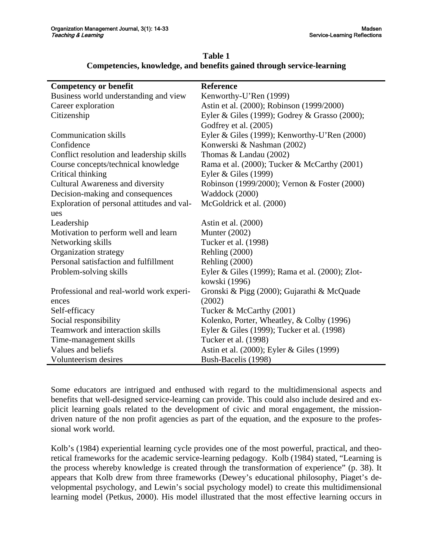| Table 1                                                               |
|-----------------------------------------------------------------------|
| Competencies, knowledge, and benefits gained through service-learning |

| <b>Competency or benefit</b>               | <b>Reference</b>                                |
|--------------------------------------------|-------------------------------------------------|
| Business world understanding and view      | Kenworthy-U'Ren (1999)                          |
| Career exploration                         | Astin et al. (2000); Robinson (1999/2000)       |
| Citizenship                                | Eyler & Giles (1999); Godrey & Grasso (2000);   |
|                                            | Godfrey et al. (2005)                           |
| <b>Communication skills</b>                | Eyler & Giles (1999); Kenworthy-U'Ren (2000)    |
| Confidence                                 | Konwerski & Nashman (2002)                      |
| Conflict resolution and leadership skills  | Thomas & Landau (2002)                          |
| Course concepts/technical knowledge        | Rama et al. (2000); Tucker & McCarthy (2001)    |
| Critical thinking                          | Eyler & Giles $(1999)$                          |
| Cultural Awareness and diversity           | Robinson (1999/2000); Vernon & Foster (2000)    |
| Decision-making and consequences           | Waddock (2000)                                  |
| Exploration of personal attitudes and val- | McGoldrick et al. (2000)                        |
| ues                                        |                                                 |
| Leadership                                 | Astin et al. (2000)                             |
| Motivation to perform well and learn       | Munter $(2002)$                                 |
| Networking skills                          | Tucker et al. (1998)                            |
| Organization strategy                      | Rehling (2000)                                  |
| Personal satisfaction and fulfillment      | Rehling (2000)                                  |
| Problem-solving skills                     | Eyler & Giles (1999); Rama et al. (2000); Zlot- |
|                                            | kowski (1996)                                   |
| Professional and real-world work experi-   | Gronski & Pigg (2000); Gujarathi & McQuade      |
| ences                                      | (2002)                                          |
| Self-efficacy                              | Tucker & McCarthy (2001)                        |
| Social responsibility                      | Kolenko, Porter, Wheatley, & Colby (1996)       |
| Teamwork and interaction skills            | Eyler & Giles (1999); Tucker et al. (1998)      |
| Time-management skills                     | Tucker et al. (1998)                            |
| Values and beliefs                         | Astin et al. (2000); Eyler & Giles (1999)       |
| Volunteerism desires                       | Bush-Bacelis (1998)                             |

Some educators are intrigued and enthused with regard to the multidimensional aspects and benefits that well-designed service-learning can provide. This could also include desired and explicit learning goals related to the development of civic and moral engagement, the missiondriven nature of the non profit agencies as part of the equation, and the exposure to the professional work world.

Kolb's (1984) experiential learning cycle provides one of the most powerful, practical, and theoretical frameworks for the academic service-learning pedagogy. Kolb (1984) stated, "Learning is the process whereby knowledge is created through the transformation of experience" (p. 38). It appears that Kolb drew from three frameworks (Dewey's educational philosophy, Piaget's developmental psychology, and Lewin's social psychology model) to create this multidimensional learning model (Petkus, 2000). His model illustrated that the most effective learning occurs in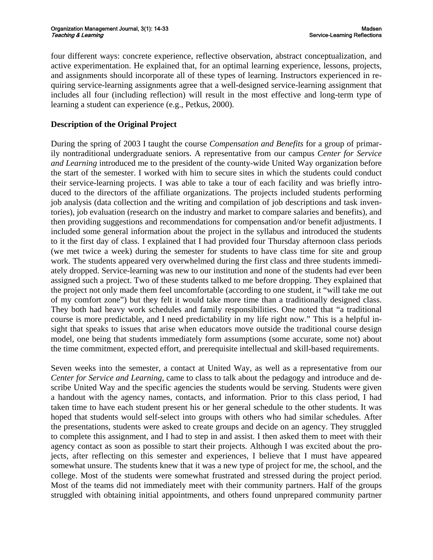four different ways: concrete experience, reflective observation, abstract conceptualization, and active experimentation. He explained that, for an optimal learning experience, lessons, projects, and assignments should incorporate all of these types of learning. Instructors experienced in requiring service-learning assignments agree that a well-designed service-learning assignment that includes all four (including reflection) will result in the most effective and long-term type of learning a student can experience (e.g., Petkus, 2000).

#### **Description of the Original Project**

During the spring of 2003 I taught the course *Compensation and Benefits* for a group of primarily nontraditional undergraduate seniors. A representative from our campus *Center for Service and Learning* introduced me to the president of the county-wide United Way organization before the start of the semester. I worked with him to secure sites in which the students could conduct their service-learning projects. I was able to take a tour of each facility and was briefly introduced to the directors of the affiliate organizations. The projects included students performing job analysis (data collection and the writing and compilation of job descriptions and task inventories), job evaluation (research on the industry and market to compare salaries and benefits), and then providing suggestions and recommendations for compensation and/or benefit adjustments. I included some general information about the project in the syllabus and introduced the students to it the first day of class. I explained that I had provided four Thursday afternoon class periods (we met twice a week) during the semester for students to have class time for site and group work. The students appeared very overwhelmed during the first class and three students immediately dropped. Service-learning was new to our institution and none of the students had ever been assigned such a project. Two of these students talked to me before dropping. They explained that the project not only made them feel uncomfortable (according to one student, it "will take me out of my comfort zone") but they felt it would take more time than a traditionally designed class. They both had heavy work schedules and family responsibilities. One noted that "a traditional course is more predictable, and I need predictability in my life right now." This is a helpful insight that speaks to issues that arise when educators move outside the traditional course design model, one being that students immediately form assumptions (some accurate, some not) about the time commitment, expected effort, and prerequisite intellectual and skill-based requirements.

Seven weeks into the semester, a contact at United Way, as well as a representative from our *Center for Service and Learning,* came to class to talk about the pedagogy and introduce and describe United Way and the specific agencies the students would be serving. Students were given a handout with the agency names, contacts, and information. Prior to this class period, I had taken time to have each student present his or her general schedule to the other students. It was hoped that students would self-select into groups with others who had similar schedules. After the presentations, students were asked to create groups and decide on an agency. They struggled to complete this assignment, and I had to step in and assist. I then asked them to meet with their agency contact as soon as possible to start their projects. Although I was excited about the projects, after reflecting on this semester and experiences, I believe that I must have appeared somewhat unsure. The students knew that it was a new type of project for me, the school, and the college. Most of the students were somewhat frustrated and stressed during the project period. Most of the teams did not immediately meet with their community partners. Half of the groups struggled with obtaining initial appointments, and others found unprepared community partner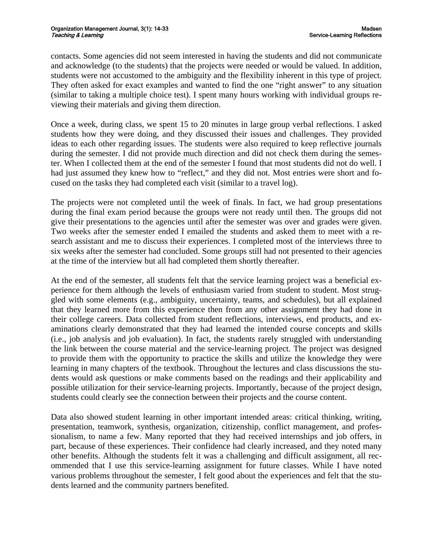contacts. Some agencies did not seem interested in having the students and did not communicate and acknowledge (to the students) that the projects were needed or would be valued. In addition, students were not accustomed to the ambiguity and the flexibility inherent in this type of project. They often asked for exact examples and wanted to find the one "right answer" to any situation (similar to taking a multiple choice test). I spent many hours working with individual groups reviewing their materials and giving them direction.

Once a week, during class, we spent 15 to 20 minutes in large group verbal reflections. I asked students how they were doing, and they discussed their issues and challenges. They provided ideas to each other regarding issues. The students were also required to keep reflective journals during the semester. I did not provide much direction and did not check them during the semester. When I collected them at the end of the semester I found that most students did not do well. I had just assumed they knew how to "reflect," and they did not. Most entries were short and focused on the tasks they had completed each visit (similar to a travel log).

The projects were not completed until the week of finals. In fact, we had group presentations during the final exam period because the groups were not ready until then. The groups did not give their presentations to the agencies until after the semester was over and grades were given. Two weeks after the semester ended I emailed the students and asked them to meet with a research assistant and me to discuss their experiences. I completed most of the interviews three to six weeks after the semester had concluded. Some groups still had not presented to their agencies at the time of the interview but all had completed them shortly thereafter.

At the end of the semester, all students felt that the service learning project was a beneficial experience for them although the levels of enthusiasm varied from student to student. Most struggled with some elements (e.g., ambiguity, uncertainty, teams, and schedules), but all explained that they learned more from this experience then from any other assignment they had done in their college careers. Data collected from student reflections, interviews, end products, and examinations clearly demonstrated that they had learned the intended course concepts and skills (i.e., job analysis and job evaluation). In fact, the students rarely struggled with understanding the link between the course material and the service-learning project. The project was designed to provide them with the opportunity to practice the skills and utilize the knowledge they were learning in many chapters of the textbook. Throughout the lectures and class discussions the students would ask questions or make comments based on the readings and their applicability and possible utilization for their service-learning projects. Importantly, because of the project design, students could clearly see the connection between their projects and the course content.

Data also showed student learning in other important intended areas: critical thinking, writing, presentation, teamwork, synthesis, organization, citizenship, conflict management, and professionalism, to name a few. Many reported that they had received internships and job offers, in part, because of these experiences. Their confidence had clearly increased, and they noted many other benefits. Although the students felt it was a challenging and difficult assignment, all recommended that I use this service-learning assignment for future classes. While I have noted various problems throughout the semester, I felt good about the experiences and felt that the students learned and the community partners benefited.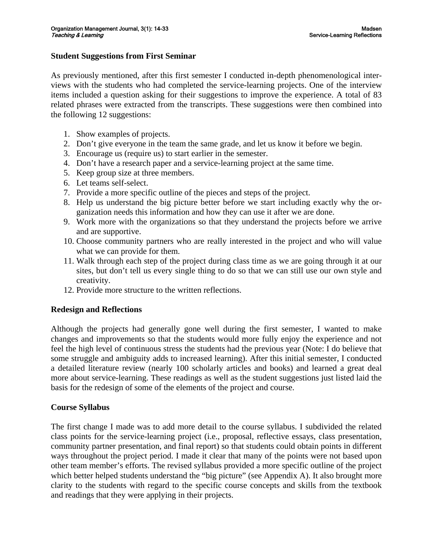20

#### **Student Suggestions from First Seminar**

As previously mentioned, after this first semester I conducted in-depth phenomenological interviews with the students who had completed the service-learning projects. One of the interview items included a question asking for their suggestions to improve the experience. A total of 83 related phrases were extracted from the transcripts. These suggestions were then combined into the following 12 suggestions:

- 1. Show examples of projects.
- 2. Don't give everyone in the team the same grade, and let us know it before we begin.
- 3. Encourage us (require us) to start earlier in the semester.
- 4. Don't have a research paper and a service-learning project at the same time.
- 5. Keep group size at three members.
- 6. Let teams self-select.
- 7. Provide a more specific outline of the pieces and steps of the project.
- 8. Help us understand the big picture better before we start including exactly why the organization needs this information and how they can use it after we are done.
- 9. Work more with the organizations so that they understand the projects before we arrive and are supportive.
- 10. Choose community partners who are really interested in the project and who will value what we can provide for them.
- 11. Walk through each step of the project during class time as we are going through it at our sites, but don't tell us every single thing to do so that we can still use our own style and creativity.
- 12. Provide more structure to the written reflections.

#### **Redesign and Reflections**

Although the projects had generally gone well during the first semester, I wanted to make changes and improvements so that the students would more fully enjoy the experience and not feel the high level of continuous stress the students had the previous year (Note: I do believe that some struggle and ambiguity adds to increased learning). After this initial semester, I conducted a detailed literature review (nearly 100 scholarly articles and books) and learned a great deal more about service-learning. These readings as well as the student suggestions just listed laid the basis for the redesign of some of the elements of the project and course.

#### **Course Syllabus**

The first change I made was to add more detail to the course syllabus. I subdivided the related class points for the service-learning project (i.e., proposal, reflective essays, class presentation, community partner presentation, and final report) so that students could obtain points in different ways throughout the project period. I made it clear that many of the points were not based upon other team member's efforts. The revised syllabus provided a more specific outline of the project which better helped students understand the "big picture" (see Appendix A). It also brought more clarity to the students with regard to the specific course concepts and skills from the textbook and readings that they were applying in their projects.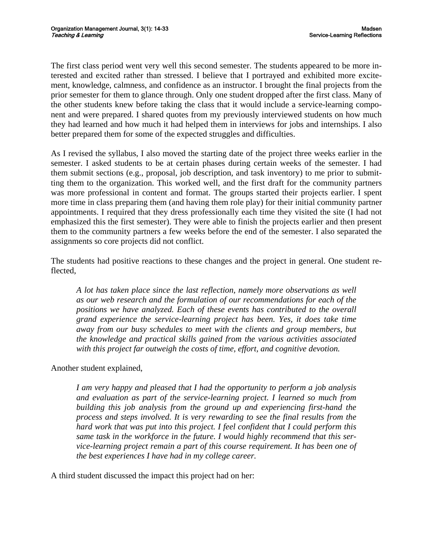The first class period went very well this second semester. The students appeared to be more interested and excited rather than stressed. I believe that I portrayed and exhibited more excitement, knowledge, calmness, and confidence as an instructor. I brought the final projects from the prior semester for them to glance through. Only one student dropped after the first class. Many of the other students knew before taking the class that it would include a service-learning component and were prepared. I shared quotes from my previously interviewed students on how much they had learned and how much it had helped them in interviews for jobs and internships. I also better prepared them for some of the expected struggles and difficulties.

As I revised the syllabus, I also moved the starting date of the project three weeks earlier in the semester. I asked students to be at certain phases during certain weeks of the semester. I had them submit sections (e.g., proposal, job description, and task inventory) to me prior to submitting them to the organization. This worked well, and the first draft for the community partners was more professional in content and format. The groups started their projects earlier. I spent more time in class preparing them (and having them role play) for their initial community partner appointments. I required that they dress professionally each time they visited the site (I had not emphasized this the first semester). They were able to finish the projects earlier and then present them to the community partners a few weeks before the end of the semester. I also separated the assignments so core projects did not conflict.

The students had positive reactions to these changes and the project in general. One student reflected,

*A lot has taken place since the last reflection, namely more observations as well as our web research and the formulation of our recommendations for each of the positions we have analyzed. Each of these events has contributed to the overall grand experience the service-learning project has been. Yes, it does take time away from our busy schedules to meet with the clients and group members, but the knowledge and practical skills gained from the various activities associated with this project far outweigh the costs of time, effort, and cognitive devotion.* 

Another student explained,

*I am very happy and pleased that I had the opportunity to perform a job analysis and evaluation as part of the service-learning project. I learned so much from building this job analysis from the ground up and experiencing first-hand the process and steps involved. It is very rewarding to see the final results from the hard work that was put into this project. I feel confident that I could perform this same task in the workforce in the future. I would highly recommend that this service-learning project remain a part of this course requirement. It has been one of the best experiences I have had in my college career.* 

A third student discussed the impact this project had on her: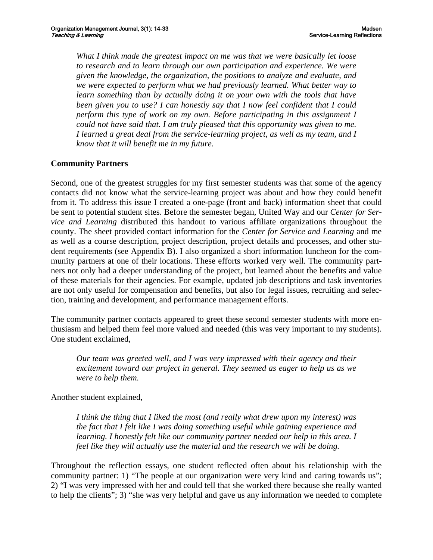*What I think made the greatest impact on me was that we were basically let loose*  to research and to learn through our own participation and experience. We were *given the knowledge, the organization, the positions to analyze and evaluate, and we were expected to perform what we had previously learned. What better way to learn something than by actually doing it on your own with the tools that have been given you to use? I can honestly say that I now feel confident that I could perform this type of work on my own. Before participating in this assignment I could not have said that. I am truly pleased that this opportunity was given to me. I learned a great deal from the service-learning project, as well as my team, and I know that it will benefit me in my future.* 

## **Community Partners**

Second, one of the greatest struggles for my first semester students was that some of the agency contacts did not know what the service-learning project was about and how they could benefit from it. To address this issue I created a one-page (front and back) information sheet that could be sent to potential student sites. Before the semester began, United Way and our *Center for Service and Learning* distributed this handout to various affiliate organizations throughout the county. The sheet provided contact information for the *Center for Service and Learning* and me as well as a course description, project description, project details and processes, and other student requirements (see Appendix B). I also organized a short information luncheon for the community partners at one of their locations. These efforts worked very well. The community partners not only had a deeper understanding of the project, but learned about the benefits and value of these materials for their agencies. For example, updated job descriptions and task inventories are not only useful for compensation and benefits, but also for legal issues, recruiting and selection, training and development, and performance management efforts.

The community partner contacts appeared to greet these second semester students with more enthusiasm and helped them feel more valued and needed (this was very important to my students). One student exclaimed,

*Our team was greeted well, and I was very impressed with their agency and their excitement toward our project in general. They seemed as eager to help us as we were to help them.* 

Another student explained,

*I think the thing that I liked the most (and really what drew upon my interest) was the fact that I felt like I was doing something useful while gaining experience and learning. I honestly felt like our community partner needed our help in this area. I feel like they will actually use the material and the research we will be doing.* 

Throughout the reflection essays, one student reflected often about his relationship with the community partner: 1) "The people at our organization were very kind and caring towards us"; 2) "I was very impressed with her and could tell that she worked there because she really wanted to help the clients"; 3) "she was very helpful and gave us any information we needed to complete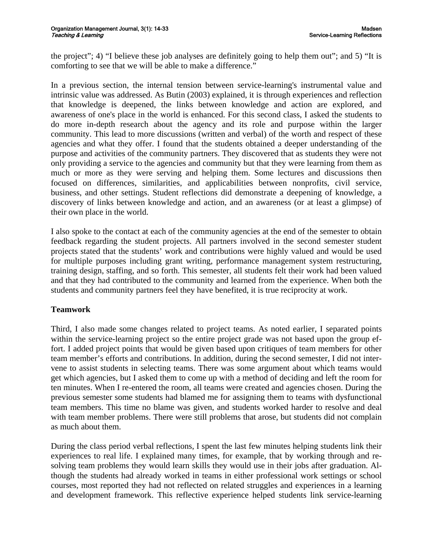the project"; 4) "I believe these job analyses are definitely going to help them out"; and 5) "It is comforting to see that we will be able to make a difference."

In a previous section, the internal tension between service-learning's instrumental value and intrinsic value was addressed. As Butin (2003) explained, it is through experiences and reflection that knowledge is deepened, the links between knowledge and action are explored, and awareness of one's place in the world is enhanced. For this second class, I asked the students to do more in-depth research about the agency and its role and purpose within the larger community. This lead to more discussions (written and verbal) of the worth and respect of these agencies and what they offer. I found that the students obtained a deeper understanding of the purpose and activities of the community partners. They discovered that as students they were not only providing a service to the agencies and community but that they were learning from them as much or more as they were serving and helping them. Some lectures and discussions then focused on differences, similarities, and applicabilities between nonprofits, civil service, business, and other settings. Student reflections did demonstrate a deepening of knowledge, a discovery of links between knowledge and action, and an awareness (or at least a glimpse) of their own place in the world.

I also spoke to the contact at each of the community agencies at the end of the semester to obtain feedback regarding the student projects. All partners involved in the second semester student projects stated that the students' work and contributions were highly valued and would be used for multiple purposes including grant writing, performance management system restructuring, training design, staffing, and so forth. This semester, all students felt their work had been valued and that they had contributed to the community and learned from the experience. When both the students and community partners feel they have benefited, it is true reciprocity at work.

## **Teamwork**

Third, I also made some changes related to project teams. As noted earlier, I separated points within the service-learning project so the entire project grade was not based upon the group effort. I added project points that would be given based upon critiques of team members for other team member's efforts and contributions. In addition, during the second semester, I did not intervene to assist students in selecting teams. There was some argument about which teams would get which agencies, but I asked them to come up with a method of deciding and left the room for ten minutes. When I re-entered the room, all teams were created and agencies chosen. During the previous semester some students had blamed me for assigning them to teams with dysfunctional team members. This time no blame was given, and students worked harder to resolve and deal with team member problems. There were still problems that arose, but students did not complain as much about them.

During the class period verbal reflections, I spent the last few minutes helping students link their experiences to real life. I explained many times, for example, that by working through and resolving team problems they would learn skills they would use in their jobs after graduation. Although the students had already worked in teams in either professional work settings or school courses, most reported they had not reflected on related struggles and experiences in a learning and development framework. This reflective experience helped students link service-learning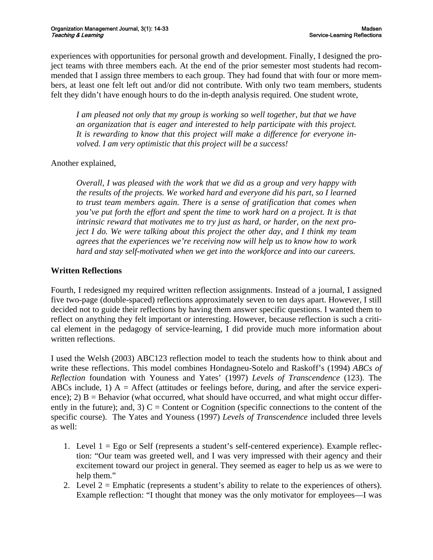experiences with opportunities for personal growth and development. Finally, I designed the project teams with three members each. At the end of the prior semester most students had recommended that I assign three members to each group. They had found that with four or more members, at least one felt left out and/or did not contribute. With only two team members, students felt they didn't have enough hours to do the in-depth analysis required. One student wrote,

*I am pleased not only that my group is working so well together, but that we have an organization that is eager and interested to help participate with this project. It is rewarding to know that this project will make a difference for everyone involved. I am very optimistic that this project will be a success!* 

Another explained,

*Overall, I was pleased with the work that we did as a group and very happy with the results of the projects. We worked hard and everyone did his part, so I learned to trust team members again. There is a sense of gratification that comes when you've put forth the effort and spent the time to work hard on a project. It is that intrinsic reward that motivates me to try just as hard, or harder, on the next project I do. We were talking about this project the other day, and I think my team agrees that the experiences we're receiving now will help us to know how to work hard and stay self-motivated when we get into the workforce and into our careers.* 

## **Written Reflections**

Fourth, I redesigned my required written reflection assignments. Instead of a journal, I assigned five two-page (double-spaced) reflections approximately seven to ten days apart. However, I still decided not to guide their reflections by having them answer specific questions. I wanted them to reflect on anything they felt important or interesting. However, because reflection is such a critical element in the pedagogy of service-learning, I did provide much more information about written reflections.

I used the Welsh (2003) ABC123 reflection model to teach the students how to think about and write these reflections. This model combines Hondagneu-Sotelo and Raskoff's (1994) *ABCs of Reflection* foundation with Youness and Yates' (1997) *Levels of Transcendence* (123). The ABCs include, 1)  $A =$  Affect (attitudes or feelings before, during, and after the service experience); 2)  $B =$  Behavior (what occurred, what should have occurred, and what might occur differently in the future); and, 3)  $C =$  Content or Cognition (specific connections to the content of the specific course). The Yates and Youness (1997) *Levels of Transcendence* included three levels as well:

- 1. Level  $1 = \text{Ego}$  or Self (represents a student's self-centered experience). Example reflection: "Our team was greeted well, and I was very impressed with their agency and their excitement toward our project in general. They seemed as eager to help us as we were to help them."
- 2. Level  $2 =$  Emphatic (represents a student's ability to relate to the experiences of others). Example reflection: "I thought that money was the only motivator for employees—I was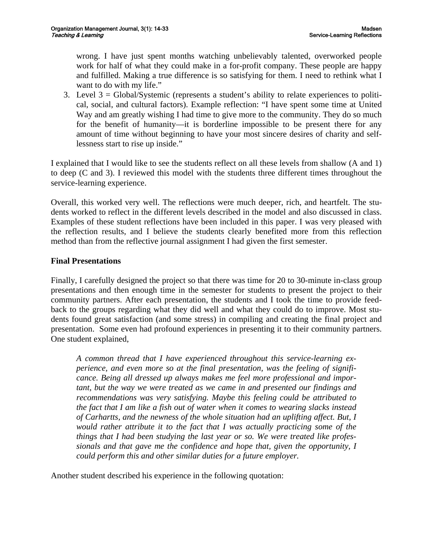wrong. I have just spent months watching unbelievably talented, overworked people work for half of what they could make in a for-profit company. These people are happy and fulfilled. Making a true difference is so satisfying for them. I need to rethink what I want to do with my life."

3. Level  $3 = \text{Global/Systemic}$  (represents a student's ability to relate experiences to political, social, and cultural factors). Example reflection: "I have spent some time at United Way and am greatly wishing I had time to give more to the community. They do so much for the benefit of humanity—it is borderline impossible to be present there for any amount of time without beginning to have your most sincere desires of charity and selflessness start to rise up inside."

I explained that I would like to see the students reflect on all these levels from shallow (A and 1) to deep (C and 3). I reviewed this model with the students three different times throughout the service-learning experience.

Overall, this worked very well. The reflections were much deeper, rich, and heartfelt. The students worked to reflect in the different levels described in the model and also discussed in class. Examples of these student reflections have been included in this paper. I was very pleased with the reflection results, and I believe the students clearly benefited more from this reflection method than from the reflective journal assignment I had given the first semester.

#### **Final Presentations**

Finally, I carefully designed the project so that there was time for 20 to 30-minute in-class group presentations and then enough time in the semester for students to present the project to their community partners. After each presentation, the students and I took the time to provide feedback to the groups regarding what they did well and what they could do to improve. Most students found great satisfaction (and some stress) in compiling and creating the final project and presentation. Some even had profound experiences in presenting it to their community partners. One student explained,

*A common thread that I have experienced throughout this service-learning experience, and even more so at the final presentation, was the feeling of significance. Being all dressed up always makes me feel more professional and important, but the way we were treated as we came in and presented our findings and recommendations was very satisfying. Maybe this feeling could be attributed to the fact that I am like a fish out of water when it comes to wearing slacks instead of Carhartts, and the newness of the whole situation had an uplifting affect. But, I would rather attribute it to the fact that I was actually practicing some of the things that I had been studying the last year or so. We were treated like professionals and that gave me the confidence and hope that, given the opportunity, I could perform this and other similar duties for a future employer.* 

Another student described his experience in the following quotation: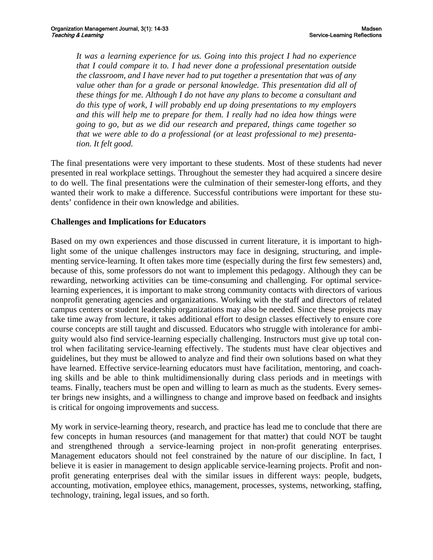*It was a learning experience for us. Going into this project I had no experience that I could compare it to. I had never done a professional presentation outside the classroom, and I have never had to put together a presentation that was of any value other than for a grade or personal knowledge. This presentation did all of these things for me. Although I do not have any plans to become a consultant and do this type of work, I will probably end up doing presentations to my employers and this will help me to prepare for them. I really had no idea how things were going to go, but as we did our research and prepared, things came together so that we were able to do a professional (or at least professional to me) presentation. It felt good.* 

The final presentations were very important to these students. Most of these students had never presented in real workplace settings. Throughout the semester they had acquired a sincere desire to do well. The final presentations were the culmination of their semester-long efforts, and they wanted their work to make a difference. Successful contributions were important for these students' confidence in their own knowledge and abilities.

## **Challenges and Implications for Educators**

Based on my own experiences and those discussed in current literature, it is important to highlight some of the unique challenges instructors may face in designing, structuring, and implementing service-learning. It often takes more time (especially during the first few semesters) and, because of this, some professors do not want to implement this pedagogy. Although they can be rewarding, networking activities can be time-consuming and challenging. For optimal servicelearning experiences, it is important to make strong community contacts with directors of various nonprofit generating agencies and organizations. Working with the staff and directors of related campus centers or student leadership organizations may also be needed. Since these projects may take time away from lecture, it takes additional effort to design classes effectively to ensure core course concepts are still taught and discussed. Educators who struggle with intolerance for ambiguity would also find service-learning especially challenging. Instructors must give up total control when facilitating service-learning effectively. The students must have clear objectives and guidelines, but they must be allowed to analyze and find their own solutions based on what they have learned. Effective service-learning educators must have facilitation, mentoring, and coaching skills and be able to think multidimensionally during class periods and in meetings with teams. Finally, teachers must be open and willing to learn as much as the students. Every semester brings new insights, and a willingness to change and improve based on feedback and insights is critical for ongoing improvements and success.

My work in service-learning theory, research, and practice has lead me to conclude that there are few concepts in human resources (and management for that matter) that could NOT be taught and strengthened through a service-learning project in non-profit generating enterprises. Management educators should not feel constrained by the nature of our discipline. In fact, I believe it is easier in management to design applicable service-learning projects. Profit and nonprofit generating enterprises deal with the similar issues in different ways: people, budgets, accounting, motivation, employee ethics, management, processes, systems, networking, staffing, technology, training, legal issues, and so forth.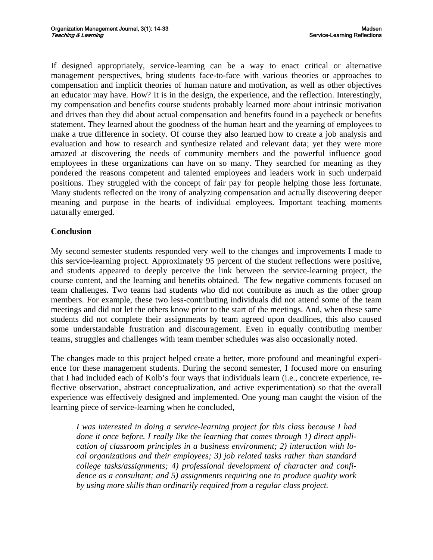If designed appropriately, service-learning can be a way to enact critical or alternative management perspectives, bring students face-to-face with various theories or approaches to compensation and implicit theories of human nature and motivation, as well as other objectives an educator may have. How? It is in the design, the experience, and the reflection. Interestingly, my compensation and benefits course students probably learned more about intrinsic motivation and drives than they did about actual compensation and benefits found in a paycheck or benefits statement. They learned about the goodness of the human heart and the yearning of employees to make a true difference in society. Of course they also learned how to create a job analysis and evaluation and how to research and synthesize related and relevant data; yet they were more amazed at discovering the needs of community members and the powerful influence good employees in these organizations can have on so many. They searched for meaning as they pondered the reasons competent and talented employees and leaders work in such underpaid positions. They struggled with the concept of fair pay for people helping those less fortunate. Many students reflected on the irony of analyzing compensation and actually discovering deeper meaning and purpose in the hearts of individual employees. Important teaching moments naturally emerged.

## **Conclusion**

My second semester students responded very well to the changes and improvements I made to this service-learning project. Approximately 95 percent of the student reflections were positive, and students appeared to deeply perceive the link between the service-learning project, the course content, and the learning and benefits obtained. The few negative comments focused on team challenges. Two teams had students who did not contribute as much as the other group members. For example, these two less-contributing individuals did not attend some of the team meetings and did not let the others know prior to the start of the meetings. And, when these same students did not complete their assignments by team agreed upon deadlines, this also caused some understandable frustration and discouragement. Even in equally contributing member teams, struggles and challenges with team member schedules was also occasionally noted.

The changes made to this project helped create a better, more profound and meaningful experience for these management students. During the second semester, I focused more on ensuring that I had included each of Kolb's four ways that individuals learn (i.e., concrete experience, reflective observation, abstract conceptualization, and active experimentation) so that the overall experience was effectively designed and implemented. One young man caught the vision of the learning piece of service-learning when he concluded,

*I was interested in doing a service-learning project for this class because I had done it once before. I really like the learning that comes through 1) direct application of classroom principles in a business environment; 2) interaction with local organizations and their employees; 3) job related tasks rather than standard college tasks/assignments; 4) professional development of character and confidence as a consultant; and 5) assignments requiring one to produce quality work by using more skills than ordinarily required from a regular class project.*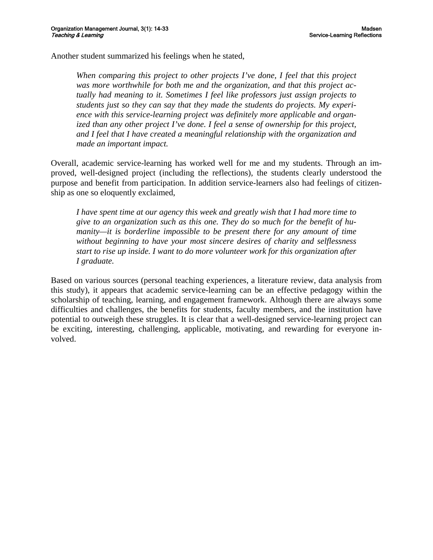Another student summarized his feelings when he stated,

*When comparing this project to other projects I've done, I feel that this project was more worthwhile for both me and the organization, and that this project actually had meaning to it. Sometimes I feel like professors just assign projects to students just so they can say that they made the students do projects. My experience with this service-learning project was definitely more applicable and organized than any other project I've done. I feel a sense of ownership for this project, and I feel that I have created a meaningful relationship with the organization and made an important impact.* 

Overall, academic service-learning has worked well for me and my students. Through an improved, well-designed project (including the reflections), the students clearly understood the purpose and benefit from participation. In addition service-learners also had feelings of citizenship as one so eloquently exclaimed,

*I have spent time at our agency this week and greatly wish that I had more time to give to an organization such as this one. They do so much for the benefit of humanity—it is borderline impossible to be present there for any amount of time without beginning to have your most sincere desires of charity and selflessness start to rise up inside. I want to do more volunteer work for this organization after I graduate.* 

Based on various sources (personal teaching experiences, a literature review, data analysis from this study), it appears that academic service-learning can be an effective pedagogy within the scholarship of teaching, learning, and engagement framework. Although there are always some difficulties and challenges, the benefits for students, faculty members, and the institution have potential to outweigh these struggles. It is clear that a well-designed service-learning project can be exciting, interesting, challenging, applicable, motivating, and rewarding for everyone involved.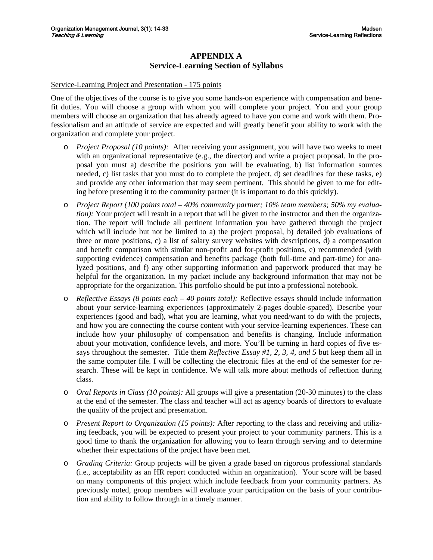#### **APPENDIX A Service-Learning Section of Syllabus**

#### Service-Learning Project and Presentation - 175 points

One of the objectives of the course is to give you some hands-on experience with compensation and benefit duties. You will choose a group with whom you will complete your project. You and your group members will choose an organization that has already agreed to have you come and work with them. Professionalism and an attitude of service are expected and will greatly benefit your ability to work with the organization and complete your project.

- o *Project Proposal (10 points):* After receiving your assignment, you will have two weeks to meet with an organizational representative (e.g., the director) and write a project proposal. In the proposal you must a) describe the positions you will be evaluating, b) list information sources needed, c) list tasks that you must do to complete the project, d) set deadlines for these tasks, e) and provide any other information that may seem pertinent. This should be given to me for editing before presenting it to the community partner (it is important to do this quickly).
- o *Project Report (100 points total 40% community partner; 10% team members; 50% my evaluation*): Your project will result in a report that will be given to the instructor and then the organization. The report will include all pertinent information you have gathered through the project which will include but not be limited to a) the project proposal, b) detailed job evaluations of three or more positions, c) a list of salary survey websites with descriptions, d) a compensation and benefit comparison with similar non-profit and for-profit positions, e) recommended (with supporting evidence) compensation and benefits package (both full-time and part-time) for analyzed positions, and f) any other supporting information and paperwork produced that may be helpful for the organization. In my packet include any background information that may not be appropriate for the organization. This portfolio should be put into a professional notebook.
- o *Reflective Essays (8 points each 40 points total):* Reflective essays should include information about your service-learning experiences (approximately 2-pages double-spaced). Describe your experiences (good and bad), what you are learning, what you need/want to do with the projects, and how you are connecting the course content with your service-learning experiences. These can include how your philosophy of compensation and benefits is changing. Include information about your motivation, confidence levels, and more. You'll be turning in hard copies of five essays throughout the semester. Title them *Reflective Essay #1, 2, 3, 4, and 5* but keep them all in the same computer file. I will be collecting the electronic files at the end of the semester for research. These will be kept in confidence. We will talk more about methods of reflection during class.
- o *Oral Reports in Class (10 points):* All groups will give a presentation (20-30 minutes) to the class at the end of the semester. The class and teacher will act as agency boards of directors to evaluate the quality of the project and presentation.
- o *Present Report to Organization (15 points):* After reporting to the class and receiving and utilizing feedback, you will be expected to present your project to your community partners. This is a good time to thank the organization for allowing you to learn through serving and to determine whether their expectations of the project have been met.
- o *Grading Criteria:* Group projects will be given a grade based on rigorous professional standards (i.e., acceptability as an HR report conducted within an organization). Your score will be based on many components of this project which include feedback from your community partners. As previously noted, group members will evaluate your participation on the basis of your contribution and ability to follow through in a timely manner.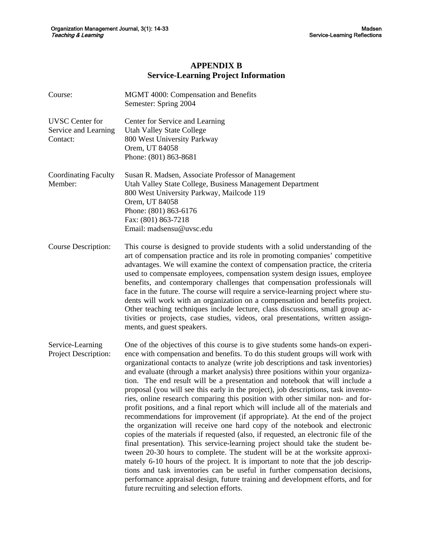30

## **APPENDIX B Service-Learning Project Information**

| Course:                                                    | MGMT 4000: Compensation and Benefits<br>Semester: Spring 2004                                                                                                                                                                                                                                                                                                                                                                                                                                                                                                                                                                                                                                                                                                                                                                                                                                                                                                                                                                                                                                                                                                                                                                                                                                                                                                                                          |
|------------------------------------------------------------|--------------------------------------------------------------------------------------------------------------------------------------------------------------------------------------------------------------------------------------------------------------------------------------------------------------------------------------------------------------------------------------------------------------------------------------------------------------------------------------------------------------------------------------------------------------------------------------------------------------------------------------------------------------------------------------------------------------------------------------------------------------------------------------------------------------------------------------------------------------------------------------------------------------------------------------------------------------------------------------------------------------------------------------------------------------------------------------------------------------------------------------------------------------------------------------------------------------------------------------------------------------------------------------------------------------------------------------------------------------------------------------------------------|
| <b>UVSC</b> Center for<br>Service and Learning<br>Contact: | Center for Service and Learning<br><b>Utah Valley State College</b><br>800 West University Parkway<br>Orem, UT 84058<br>Phone: (801) 863-8681                                                                                                                                                                                                                                                                                                                                                                                                                                                                                                                                                                                                                                                                                                                                                                                                                                                                                                                                                                                                                                                                                                                                                                                                                                                          |
| <b>Coordinating Faculty</b><br>Member:                     | Susan R. Madsen, Associate Professor of Management<br>Utah Valley State College, Business Management Department<br>800 West University Parkway, Mailcode 119<br>Orem, UT 84058<br>Phone: (801) 863-6176<br>Fax: (801) 863-7218<br>Email: madsensu@uvsc.edu                                                                                                                                                                                                                                                                                                                                                                                                                                                                                                                                                                                                                                                                                                                                                                                                                                                                                                                                                                                                                                                                                                                                             |
| <b>Course Description:</b>                                 | This course is designed to provide students with a solid understanding of the<br>art of compensation practice and its role in promoting companies' competitive<br>advantages. We will examine the context of compensation practice, the criteria<br>used to compensate employees, compensation system design issues, employee<br>benefits, and contemporary challenges that compensation professionals will<br>face in the future. The course will require a service-learning project where stu-<br>dents will work with an organization on a compensation and benefits project.<br>Other teaching techniques include lecture, class discussions, small group ac-<br>tivities or projects, case studies, videos, oral presentations, written assign-<br>ments, and guest speakers.                                                                                                                                                                                                                                                                                                                                                                                                                                                                                                                                                                                                                     |
| Service-Learning<br><b>Project Description:</b>            | One of the objectives of this course is to give students some hands-on experi-<br>ence with compensation and benefits. To do this student groups will work with<br>organizational contacts to analyze (write job descriptions and task inventories)<br>and evaluate (through a market analysis) three positions within your organiza-<br>tion. The end result will be a presentation and notebook that will include a<br>proposal (you will see this early in the project), job descriptions, task invento-<br>ries, online research comparing this position with other similar non- and for-<br>profit positions, and a final report which will include all of the materials and<br>recommendations for improvement (if appropriate). At the end of the project<br>the organization will receive one hard copy of the notebook and electronic<br>copies of the materials if requested (also, if requested, an electronic file of the<br>final presentation). This service-learning project should take the student be-<br>tween 20-30 hours to complete. The student will be at the worksite approxi-<br>mately 6-10 hours of the project. It is important to note that the job descrip-<br>tions and task inventories can be useful in further compensation decisions,<br>performance appraisal design, future training and development efforts, and for<br>future recruiting and selection efforts. |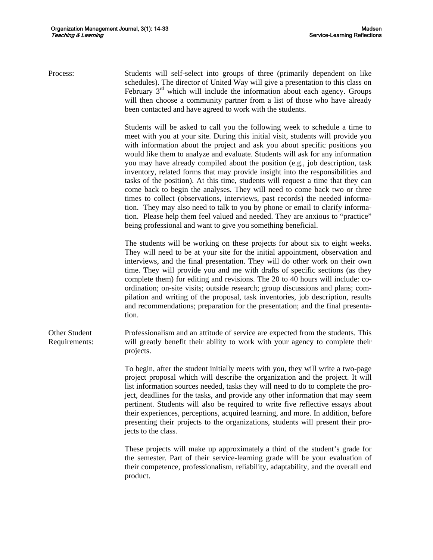Process: Students will self-select into groups of three (primarily dependent on like schedules). The director of United Way will give a presentation to this class on February  $3<sup>rd</sup>$  which will include the information about each agency. Groups will then choose a community partner from a list of those who have already been contacted and have agreed to work with the students.

> Students will be asked to call you the following week to schedule a time to meet with you at your site. During this initial visit, students will provide you with information about the project and ask you about specific positions you would like them to analyze and evaluate. Students will ask for any information you may have already compiled about the position (e.g., job description, task inventory, related forms that may provide insight into the responsibilities and tasks of the position). At this time, students will request a time that they can come back to begin the analyses. They will need to come back two or three times to collect (observations, interviews, past records) the needed information. They may also need to talk to you by phone or email to clarify information. Please help them feel valued and needed. They are anxious to "practice" being professional and want to give you something beneficial.

> The students will be working on these projects for about six to eight weeks. They will need to be at your site for the initial appointment, observation and interviews, and the final presentation. They will do other work on their own time. They will provide you and me with drafts of specific sections (as they complete them) for editing and revisions. The 20 to 40 hours will include: coordination; on-site visits; outside research; group discussions and plans; compilation and writing of the proposal, task inventories, job description, results and recommendations; preparation for the presentation; and the final presentation.

Other Student Requirements: Professionalism and an attitude of service are expected from the students. This will greatly benefit their ability to work with your agency to complete their projects.

> To begin, after the student initially meets with you, they will write a two-page project proposal which will describe the organization and the project. It will list information sources needed, tasks they will need to do to complete the project, deadlines for the tasks, and provide any other information that may seem pertinent. Students will also be required to write five reflective essays about their experiences, perceptions, acquired learning, and more. In addition, before presenting their projects to the organizations, students will present their projects to the class.

> These projects will make up approximately a third of the student's grade for the semester. Part of their service-learning grade will be your evaluation of their competence, professionalism, reliability, adaptability, and the overall end product.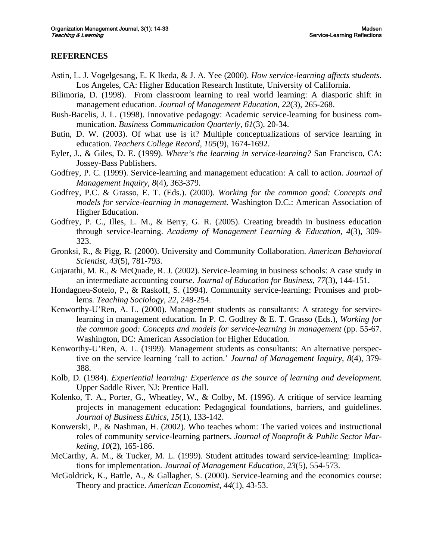#### **REFERENCES**

- Astin, L. J. Vogelgesang, E. K Ikeda, & J. A. Yee (2000). *How service-learning affects students.*  Los Angeles, CA: Higher Education Research Institute, University of California.
- Bilimoria, D. (1998). From classroom learning to real world learning: A diasporic shift in management education. *Journal of Management Education, 22*(3), 265-268.
- Bush-Bacelis, J. L. (1998). Innovative pedagogy: Academic service-learning for business communication. *Business Communication Quarterly*, *61*(3), 20-34.
- Butin, D. W. (2003). Of what use is it? Multiple conceptualizations of service learning in education. *Teachers College Record, 105*(9), 1674-1692.
- Eyler, J., & Giles, D. E. (1999). *Where's the learning in service-learning?* San Francisco, CA: Jossey-Bass Publishers.
- Godfrey, P. C. (1999). Service-learning and management education: A call to action. *Journal of Management Inquiry*, *8*(4), 363-379.
- Godfrey, P.C. & Grasso, E. T. (Eds.). (2000). *Working for the common good: Concepts and models for service-learning in management.* Washington D.C.: American Association of Higher Education.
- Godfrey, P. C., Illes, L. M., & Berry, G. R. (2005). Creating breadth in business education through service-learning. *Academy of Management Learning & Education, 4*(3), 309- 323.
- Gronksi, R., & Pigg, R. (2000). University and Community Collaboration. *American Behavioral Scientist*, *43*(5), 781-793.
- Gujarathi, M. R., & McQuade, R. J. (2002). Service-learning in business schools: A case study in an intermediate accounting course. *Journal of Education for Business*, *77*(3), 144-151.
- Hondagneu-Sotelo, P., & Raskoff, S. (1994). Community service-learning: Promises and problems*. Teaching Sociology, 22,* 248-254.
- Kenworthy-U'Ren, A. L. (2000). Management students as consultants: A strategy for servicelearning in management education. In P. C. Godfrey & E. T. Grasso (Eds.), *Working for the common good: Concepts and models for service-learning in management* (pp. 55-67. Washington, DC: American Association for Higher Education.
- Kenworthy-U'Ren, A. L. (1999). Management students as consultants: An alternative perspective on the service learning 'call to action.' *Journal of Management Inquiry*, *8*(4), 379- 388.
- Kolb, D. (1984). *Experiential learning: Experience as the source of learning and development.*  Upper Saddle River, NJ: Prentice Hall.
- Kolenko, T. A., Porter, G., Wheatley, W., & Colby, M. (1996). A critique of service learning projects in management education: Pedagogical foundations, barriers, and guidelines. *Journal of Business Ethics*, *15*(1), 133-142.
- Konwerski, P., & Nashman, H. (2002). Who teaches whom: The varied voices and instructional roles of community service-learning partners. *Journal of Nonprofit & Public Sector Marketing*, *10*(2), 165-186.
- McCarthy, A. M., & Tucker, M. L. (1999). Student attitudes toward service-learning: Implications for implementation. *Journal of Management Education*, *23*(5), 554-573.
- McGoldrick, K., Battle, A., & Gallagher, S. (2000). Service-learning and the economics course: Theory and practice. *American Economist*, *44*(1), 43-53.